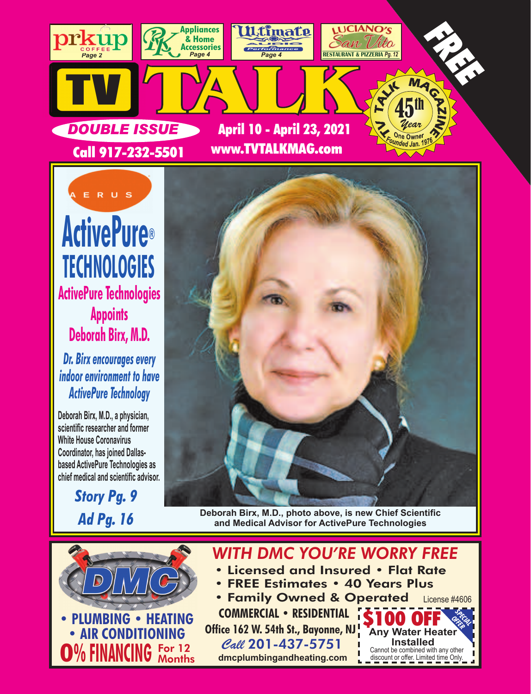



*Dr. Birx encourages every indoor environment to have ActivePure Technology* 

**Deborah Birx, M.D., a physician, scientific researcher and former White House Coronavirus Coordinator, has joined Dallasbased ActivePure Technologies as chief medical and scientific advisor.**

> *Story Pg. 9 Ad Pg. 16*



**Deborah Birx, M.D., photo above, is new Chief Scientific and Medical Advisor for ActivePure Technologies** 



## *WITH DMC YOU'RE WORRY FREE*

- Licensed and Insured Flat Rate
- FREE Estimates 40 Years Plus
- **Office 162 W. 54th St., Bayonne, NJ** • Family Owned & Operated **COMMERCIAL • RESIDENTIAL** License #4606

Call 201-437-5751  **dmcplumbingandheating.com**

**Sp<sub>ECIAL</sub>** *OFFER* **Any Water Heater Installed** Cannot be combined with any other discount or offer. Limited time Only. ъ.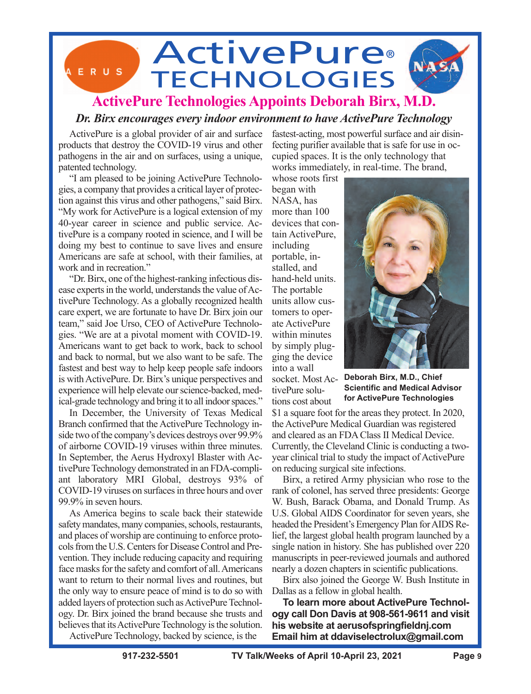## **ActivePure®** ERUS **TECHNOLOGIES ActivePure Technologies Appoints Deborah Birx, M.D.**

## *Dr. Birx encourages every indoor environment to have ActivePure Technology*

ActivePure is a global provider of air and surface products that destroy the COVID-19 virus and other pathogens in the air and on surfaces, using a unique, patented technology.

"I am pleased to be joining ActivePure Technologies, a company that provides a critical layer of protection against this virus and other pathogens," said Birx. "My work for ActivePure is a logical extension of my 40-year career in science and public service. ActivePure is a company rooted in science, and I will be doing my best to continue to save lives and ensure Americans are safe at school, with their families, at work and in recreation."

"Dr. Birx, one of the highest-ranking infectious disease experts in the world, understands the value of ActivePure Technology. As a globally recognized health care expert, we are fortunate to have Dr. Birx join our team," said Joe Urso, CEO of ActivePure Technologies. "We are at a pivotal moment with COVID-19. Americans want to get back to work, back to school and back to normal, but we also want to be safe. The fastest and best way to help keep people safe indoors is with ActivePure. Dr. Birx's unique perspectives and experience will help elevate our science-backed, medical-grade technology and bring it to all indoor spaces."

In December, the University of Texas Medical Branch confirmed that the ActivePure Technology inside two of the company's devices destroys over 99.9% of airborne COVID-19 viruses within three minutes. In September, the Aerus Hydroxyl Blaster with ActivePure Technology demonstrated in an FDA-compliant laboratory MRI Global, destroys 93% of COVID-19 viruses on surfaces in three hours and over 99.9% in seven hours.

As America begins to scale back their statewide safety mandates, many companies, schools, restaurants, and places of worship are continuing to enforce protocols from the U.S. Centers for Disease Control and Prevention. They include reducing capacity and requiring face masks for the safety and comfort of all. Americans want to return to their normal lives and routines, but the only way to ensure peace of mind is to do so with added layers of protection such as ActivePure Technology. Dr. Birx joined the brand because she trusts and believes that its ActivePure Technology is the solution. ActivePure Technology, backed by science, is the

fastest-acting, most powerful surface and air disinfecting purifier available that is safe for use in occupied spaces. It is the only technology that works immediately, in real-time. The brand,

whose roots first began with NASA, has more than 100 devices that contain ActivePure, including portable, installed, and hand-held units. The portable units allow customers to operate ActivePure within minutes by simply plugging the device into a wall socket. Most ActivePure solu-

tions cost about



**Deborah Birx, M.D., Chief Scientific and Medical Advisor for ActivePure Technologies** 

\$1 a square foot for the areas they protect. In 2020, the ActivePure Medical Guardian was registered and cleared as an FDA Class II Medical Device. Currently, the Cleveland Clinic is conducting a twoyear clinical trial to study the impact of ActivePure on reducing surgical site infections.

Birx, a retired Army physician who rose to the rank of colonel, has served three presidents: George W. Bush, Barack Obama, and Donald Trump. As U.S. Global AIDS Coordinator for seven years, she headed the President's Emergency Plan for AIDS Relief, the largest global health program launched by a single nation in history. She has published over 220 manuscripts in peer-reviewed journals and authored nearly a dozen chapters in scientific publications.

Birx also joined the George W. Bush Institute in Dallas as a fellow in global health.

**To learn more about ActivePure Technology call Don Davis at 908-561-9611 and visit his website at aerusofspringfieldnj.com Email him at ddaviselectrolux@gmail.com**